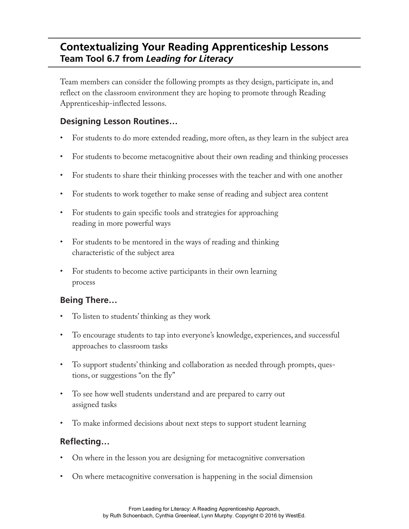## **Contextualizing Your Reading Apprenticeship Lessons Team Tool 6.7 from** *Leading for Literacy*

Team members can consider the following prompts as they design, participate in, and reflect on the classroom environment they are hoping to promote through Reading Apprenticeship-inflected lessons.

## **Designing Lesson Routines…**

- For students to do more extended reading, more often, as they learn in the subject area
- For students to become metacognitive about their own reading and thinking processes
- For students to share their thinking processes with the teacher and with one another
- For students to work together to make sense of reading and subject area content
- For students to gain specific tools and strategies for approaching reading in more powerful ways
- For students to be mentored in the ways of reading and thinking characteristic of the subject area
- For students to become active participants in their own learning process

## **Being There…**

- To listen to students' thinking as they work
- To encourage students to tap into everyone's knowledge, experiences, and successful approaches to classroom tasks
- To support students' thinking and collaboration as needed through prompts, questions, or suggestions "on the fly"
- To see how well students understand and are prepared to carry out assigned tasks
- To make informed decisions about next steps to support student learning

## **Reflecting…**

- On where in the lesson you are designing for metacognitive conversation
- On where metacognitive conversation is happening in the social dimension